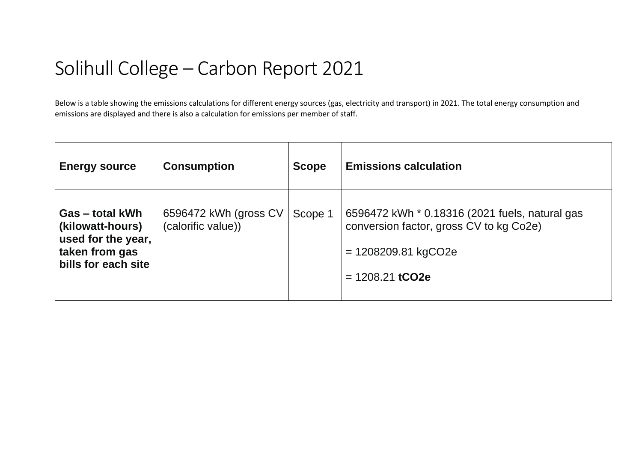## Solihull College – Carbon Report 2021

Below is a table showing the emissions calculations for different energy sources (gas, electricity and transport) in 2021. The total energy consumption and emissions are displayed and there is also a calculation for emissions per member of staff.

| <b>Energy source</b>                                                                               | <b>Consumption</b>                          | <b>Scope</b> | <b>Emissions calculation</b>                                                                                                            |
|----------------------------------------------------------------------------------------------------|---------------------------------------------|--------------|-----------------------------------------------------------------------------------------------------------------------------------------|
| Gas – total kWh<br>(kilowatt-hours)<br>used for the year,<br>taken from gas<br>bills for each site | 6596472 kWh (gross CV<br>(calorific value)) | Scope 1      | 6596472 kWh * 0.18316 (2021 fuels, natural gas<br>conversion factor, gross CV to kg Co2e)<br>$= 1208209.81$ kgCO2e<br>$= 1208.21$ tCO2e |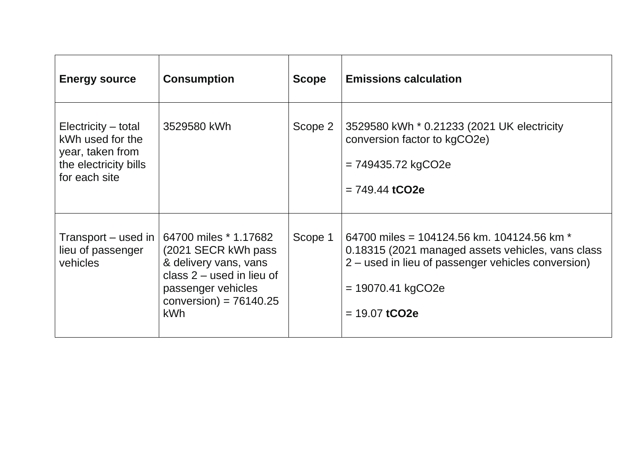| <b>Energy source</b>                                                                                  | <b>Consumption</b>                                                                                                                                                   | <b>Scope</b> | <b>Emissions calculation</b>                                                                                                                                                                    |
|-------------------------------------------------------------------------------------------------------|----------------------------------------------------------------------------------------------------------------------------------------------------------------------|--------------|-------------------------------------------------------------------------------------------------------------------------------------------------------------------------------------------------|
| Electricity – total<br>kWh used for the<br>year, taken from<br>the electricity bills<br>for each site | 3529580 kWh                                                                                                                                                          | Scope 2      | 3529580 kWh * 0.21233 (2021 UK electricity<br>conversion factor to kgCO2e)<br>$= 749435.72$ kgCO2e<br>$= 749.44$ tCO2e                                                                          |
| Transport – used in<br>lieu of passenger<br>vehicles                                                  | 64700 miles * 1.17682<br>(2021 SECR kWh pass<br>& delivery vans, vans<br>class $2 -$ used in lieu of<br>passenger vehicles<br>conversion) = $76140.25$<br><b>kWh</b> | Scope 1      | 64700 miles = 104124.56 km, 104124.56 km *<br>0.18315 (2021 managed assets vehicles, vans class<br>2 – used in lieu of passenger vehicles conversion)<br>$= 19070.41$ kgCO2e<br>$= 19.07$ tCO2e |